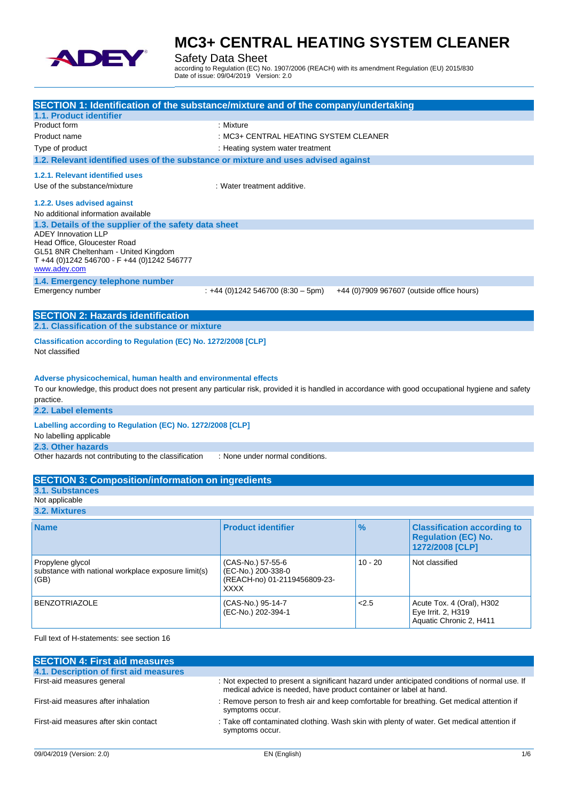

Safety Data Sheet

according to Regulation (EC) No. 1907/2006 (REACH) with its amendment Regulation (EU) 2015/830 Date of issue: 09/04/2019 Version: 2.0

| SECTION 1: Identification of the substance/mixture and of the company/undertaking                                                                   |                                         |           |                                           |
|-----------------------------------------------------------------------------------------------------------------------------------------------------|-----------------------------------------|-----------|-------------------------------------------|
| 1.1. Product identifier                                                                                                                             |                                         |           |                                           |
| Product form                                                                                                                                        | : Mixture                               |           |                                           |
| Product name                                                                                                                                        | : MC3+ CENTRAL HEATING SYSTEM CLEANER   |           |                                           |
| Type of product                                                                                                                                     | : Heating system water treatment        |           |                                           |
| 1.2. Relevant identified uses of the substance or mixture and uses advised against                                                                  |                                         |           |                                           |
| 1.2.1. Relevant identified uses                                                                                                                     |                                         |           |                                           |
| Use of the substance/mixture                                                                                                                        | : Water treatment additive.             |           |                                           |
|                                                                                                                                                     |                                         |           |                                           |
| 1.2.2. Uses advised against                                                                                                                         |                                         |           |                                           |
| No additional information available                                                                                                                 |                                         |           |                                           |
| 1.3. Details of the supplier of the safety data sheet<br><b>ADEY Innovation LLP</b>                                                                 |                                         |           |                                           |
| Head Office, Gloucester Road                                                                                                                        |                                         |           |                                           |
| GL51 8NR Cheltenham - United Kingdom                                                                                                                |                                         |           |                                           |
| T +44 (0)1242 546700 - F +44 (0)1242 546777                                                                                                         |                                         |           |                                           |
| www.adey.com                                                                                                                                        |                                         |           |                                           |
| 1.4. Emergency telephone number                                                                                                                     |                                         |           |                                           |
| Emergency number                                                                                                                                    | $: +44$ (0)1242 546700 (8:30 - 5pm)     |           | +44 (0)7909 967607 (outside office hours) |
|                                                                                                                                                     |                                         |           |                                           |
| <b>SECTION 2: Hazards identification</b>                                                                                                            |                                         |           |                                           |
| 2.1. Classification of the substance or mixture                                                                                                     |                                         |           |                                           |
| Classification according to Regulation (EC) No. 1272/2008 [CLP]                                                                                     |                                         |           |                                           |
| Not classified                                                                                                                                      |                                         |           |                                           |
|                                                                                                                                                     |                                         |           |                                           |
|                                                                                                                                                     |                                         |           |                                           |
| Adverse physicochemical, human health and environmental effects                                                                                     |                                         |           |                                           |
| To our knowledge, this product does not present any particular risk, provided it is handled in accordance with good occupational hygiene and safety |                                         |           |                                           |
| practice.<br>2.2. Label elements                                                                                                                    |                                         |           |                                           |
|                                                                                                                                                     |                                         |           |                                           |
| Labelling according to Regulation (EC) No. 1272/2008 [CLP]                                                                                          |                                         |           |                                           |
| No labelling applicable                                                                                                                             |                                         |           |                                           |
| 2.3. Other hazards                                                                                                                                  |                                         |           |                                           |
| Other hazards not contributing to the classification                                                                                                | : None under normal conditions.         |           |                                           |
|                                                                                                                                                     |                                         |           |                                           |
| <b>SECTION 3: Composition/information on ingredients</b>                                                                                            |                                         |           |                                           |
| <b>3.1. Substances</b>                                                                                                                              |                                         |           |                                           |
| Not applicable                                                                                                                                      |                                         |           |                                           |
| 3.2. Mixtures                                                                                                                                       |                                         |           |                                           |
| <b>Name</b>                                                                                                                                         | <b>Product identifier</b>               | $\%$      | <b>Classification according to</b>        |
|                                                                                                                                                     |                                         |           | <b>Regulation (EC) No.</b>                |
|                                                                                                                                                     |                                         |           | 1272/2008 [CLP]                           |
|                                                                                                                                                     |                                         |           |                                           |
| Propylene glycol<br>substance with national workplace exposure limit(s)                                                                             | (CAS-No.) 57-55-6<br>(EC-No.) 200-338-0 | $10 - 20$ | Not classified                            |
| (GB)                                                                                                                                                | (REACH-no) 01-2119456809-23-            |           |                                           |
|                                                                                                                                                     | <b>XXXX</b>                             |           |                                           |
| <b>BENZOTRIAZOLE</b>                                                                                                                                | (CAS-No.) 95-14-7                       | 2.5       | Acute Tox. 4 (Oral), H302                 |
|                                                                                                                                                     | (EC-No.) 202-394-1                      |           | Eye Irrit. 2, H319                        |

Full text of H-statements: see section 16

| <b>SECTION 4: First aid measures</b>   |                                                                                                                                                                     |
|----------------------------------------|---------------------------------------------------------------------------------------------------------------------------------------------------------------------|
| 4.1. Description of first aid measures |                                                                                                                                                                     |
| First-aid measures general             | : Not expected to present a significant hazard under anticipated conditions of normal use. If<br>medical advice is needed, have product container or label at hand. |
| First-aid measures after inhalation    | : Remove person to fresh air and keep comfortable for breathing. Get medical attention if<br>symptoms occur.                                                        |
| First-aid measures after skin contact  | : Take off contaminated clothing. Wash skin with plenty of water. Get medical attention if<br>symptoms occur.                                                       |
|                                        |                                                                                                                                                                     |

Aquatic Chronic 2, H411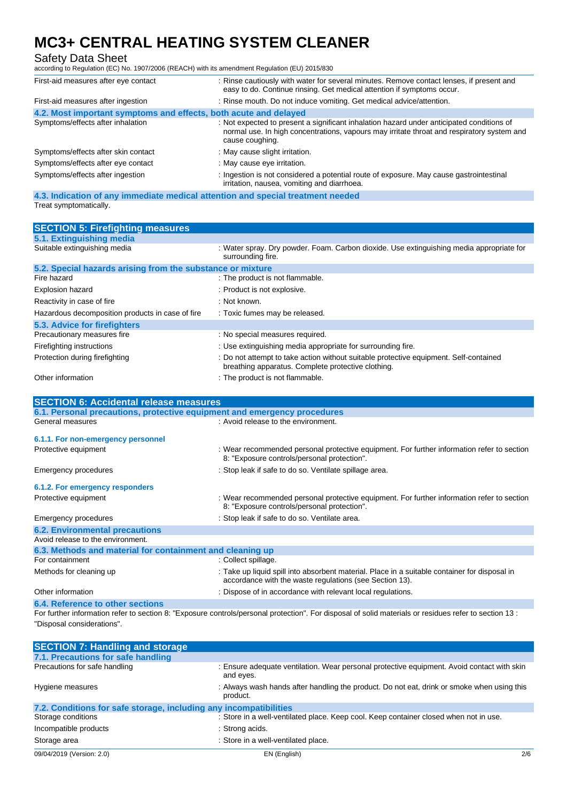# Safety Data Sheet

according to Regulation (EC) No. 1907/2006 (REACH) with its amendment Regulation (EU) 2015/830

| First-aid measures after eye contact                                            | : Rinse cautiously with water for several minutes. Remove contact lenses, if present and<br>easy to do. Continue rinsing. Get medical attention if symptoms occur.                                         |
|---------------------------------------------------------------------------------|------------------------------------------------------------------------------------------------------------------------------------------------------------------------------------------------------------|
| First-aid measures after ingestion                                              | : Rinse mouth. Do not induce vomiting. Get medical advice/attention.                                                                                                                                       |
| 4.2. Most important symptoms and effects, both acute and delayed                |                                                                                                                                                                                                            |
| Symptoms/effects after inhalation                                               | : Not expected to present a significant inhalation hazard under anticipated conditions of<br>normal use. In high concentrations, vapours may irritate throat and respiratory system and<br>cause coughing. |
| Symptoms/effects after skin contact                                             | : May cause slight irritation.                                                                                                                                                                             |
| Symptoms/effects after eye contact                                              | : May cause eye irritation.                                                                                                                                                                                |
| Symptoms/effects after ingestion                                                | : Ingestion is not considered a potential route of exposure. May cause gastrointestinal<br>irritation, nausea, vomiting and diarrhoea.                                                                     |
| 4.3. Indication of any immediate medical attention and special treatment needed |                                                                                                                                                                                                            |

Treat symptomatically.

| <b>SECTION 5: Firefighting measures</b>                    |                                                                                                                                             |  |
|------------------------------------------------------------|---------------------------------------------------------------------------------------------------------------------------------------------|--|
| 5.1. Extinguishing media                                   |                                                                                                                                             |  |
| Suitable extinguishing media                               | : Water spray. Dry powder. Foam. Carbon dioxide. Use extinguishing media appropriate for<br>surrounding fire.                               |  |
| 5.2. Special hazards arising from the substance or mixture |                                                                                                                                             |  |
| Fire hazard                                                | : The product is not flammable.                                                                                                             |  |
| <b>Explosion hazard</b>                                    | : Product is not explosive.                                                                                                                 |  |
| Reactivity in case of fire                                 | : Not known.                                                                                                                                |  |
| Hazardous decomposition products in case of fire           | : Toxic fumes may be released.                                                                                                              |  |
| 5.3. Advice for firefighters                               |                                                                                                                                             |  |
| Precautionary measures fire                                | : No special measures required.                                                                                                             |  |
| Firefighting instructions                                  | : Use extinguishing media appropriate for surrounding fire.                                                                                 |  |
| Protection during firefighting                             | : Do not attempt to take action without suitable protective equipment. Self-contained<br>breathing apparatus. Complete protective clothing. |  |
| Other information                                          | : The product is not flammable.                                                                                                             |  |

| <b>SECTION 6: Accidental release measures</b>                            |                                                                                                                                                          |
|--------------------------------------------------------------------------|----------------------------------------------------------------------------------------------------------------------------------------------------------|
| 6.1. Personal precautions, protective equipment and emergency procedures |                                                                                                                                                          |
| General measures                                                         | : Avoid release to the environment.                                                                                                                      |
| 6.1.1. For non-emergency personnel                                       |                                                                                                                                                          |
| Protective equipment                                                     | : Wear recommended personal protective equipment. For further information refer to section<br>8: "Exposure controls/personal protection".                |
| Emergency procedures                                                     | : Stop leak if safe to do so. Ventilate spillage area.                                                                                                   |
| 6.1.2. For emergency responders                                          |                                                                                                                                                          |
| Protective equipment                                                     | : Wear recommended personal protective equipment. For further information refer to section<br>8: "Exposure controls/personal protection".                |
| Emergency procedures                                                     | : Stop leak if safe to do so. Ventilate area.                                                                                                            |
| <b>6.2. Environmental precautions</b>                                    |                                                                                                                                                          |
| Avoid release to the environment.                                        |                                                                                                                                                          |
| 6.3. Methods and material for containment and cleaning up                |                                                                                                                                                          |
| For containment                                                          | : Collect spillage.                                                                                                                                      |
| Methods for cleaning up                                                  | : Take up liquid spill into absorbent material. Place in a suitable container for disposal in<br>accordance with the waste regulations (see Section 13). |
| Other information                                                        | : Dispose of in accordance with relevant local regulations.                                                                                              |
| 6.4. Reference to other sections                                         |                                                                                                                                                          |

For further information refer to section 8: "Exposure controls/personal protection". For disposal of solid materials or residues refer to section 13 : "Disposal considerations".

| <b>SECTION 7: Handling and storage</b>                            |                                                                                                         |     |
|-------------------------------------------------------------------|---------------------------------------------------------------------------------------------------------|-----|
| 7.1. Precautions for safe handling                                |                                                                                                         |     |
| Precautions for safe handling                                     | : Ensure adequate ventilation. Wear personal protective equipment. Avoid contact with skin<br>and eyes. |     |
| Hygiene measures                                                  | : Always wash hands after handling the product. Do not eat, drink or smoke when using this<br>product.  |     |
| 7.2. Conditions for safe storage, including any incompatibilities |                                                                                                         |     |
| Storage conditions                                                | : Store in a well-ventilated place. Keep cool. Keep container closed when not in use.                   |     |
| Incompatible products                                             | : Strong acids.                                                                                         |     |
| Storage area                                                      | : Store in a well-ventilated place.                                                                     |     |
| 09/04/2019 (Version: 2.0)                                         | EN (English)                                                                                            | 2/6 |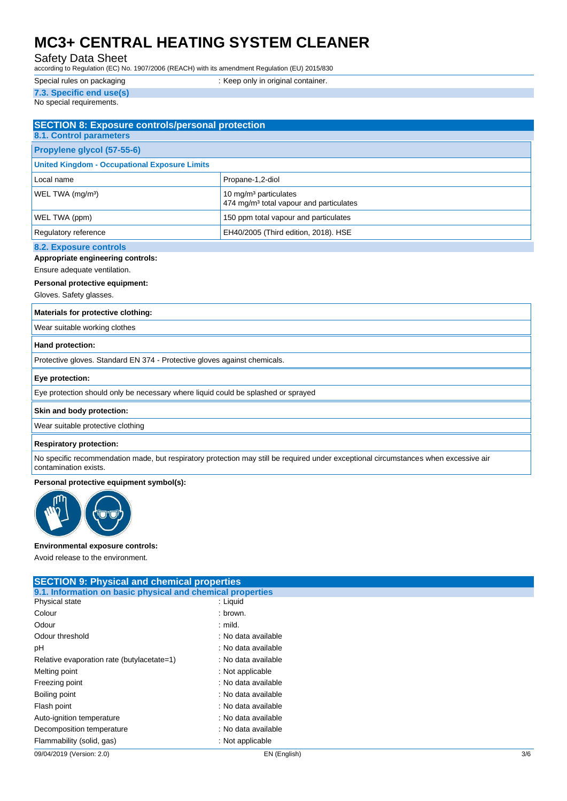### Safety Data Sheet

according to Regulation (EC) No. 1907/2006 (REACH) with its amendment Regulation (EU) 2015/830

| Special rules on packaging | : Keep only in original container. |
|----------------------------|------------------------------------|
| 7.3. Specific end use(s)   |                                    |

No special requirements.

| <b>SECTION 8: Exposure controls/personal protection</b><br><b>8.1. Control parameters</b> |                                                                                          |  |
|-------------------------------------------------------------------------------------------|------------------------------------------------------------------------------------------|--|
| Propylene glycol (57-55-6)                                                                |                                                                                          |  |
| <b>United Kingdom - Occupational Exposure Limits</b>                                      |                                                                                          |  |
| Local name                                                                                | Propane-1,2-diol                                                                         |  |
| WEL TWA (mg/m <sup>3</sup> )                                                              | 10 mg/m <sup>3</sup> particulates<br>474 mg/m <sup>3</sup> total vapour and particulates |  |
| WEL TWA (ppm)                                                                             | 150 ppm total vapour and particulates                                                    |  |
| Regulatory reference                                                                      | EH40/2005 (Third edition, 2018). HSE                                                     |  |
| 00 Evening controls                                                                       |                                                                                          |  |

# **8.2. Exposure controls**

**Appropriate engineering controls:**

Ensure adequate ventilation.

# **Personal protective equipment:**

Gloves. Safety glasses.

#### **Materials for protective clothing:**

Wear suitable working clothes

#### **Hand protection:**

Protective gloves. Standard EN 374 - Protective gloves against chemicals.

#### **Eye protection:**

Eye protection should only be necessary where liquid could be splashed or sprayed

#### **Skin and body protection:**

Wear suitable protective clothing

#### **Respiratory protection:**

No specific recommendation made, but respiratory protection may still be required under exceptional circumstances when excessive air contamination exists.

#### **Personal protective equipment symbol(s):**



#### **Environmental exposure controls:**

Avoid release to the environment.

| <b>SECTION 9: Physical and chemical properties</b>         |                     |     |
|------------------------------------------------------------|---------------------|-----|
| 9.1. Information on basic physical and chemical properties |                     |     |
| Physical state                                             | : Liquid            |     |
| Colour                                                     | : brown.            |     |
| Odour                                                      | $:$ mild.           |     |
| Odour threshold                                            | : No data available |     |
| рH                                                         | : No data available |     |
| Relative evaporation rate (butylacetate=1)                 | : No data available |     |
| Melting point                                              | : Not applicable    |     |
| Freezing point                                             | : No data available |     |
| Boiling point                                              | : No data available |     |
| Flash point                                                | : No data available |     |
| Auto-ignition temperature                                  | : No data available |     |
| Decomposition temperature                                  | : No data available |     |
| Flammability (solid, gas)                                  | : Not applicable    |     |
| 09/04/2019 (Version: 2.0)                                  | EN (English)        | 3/6 |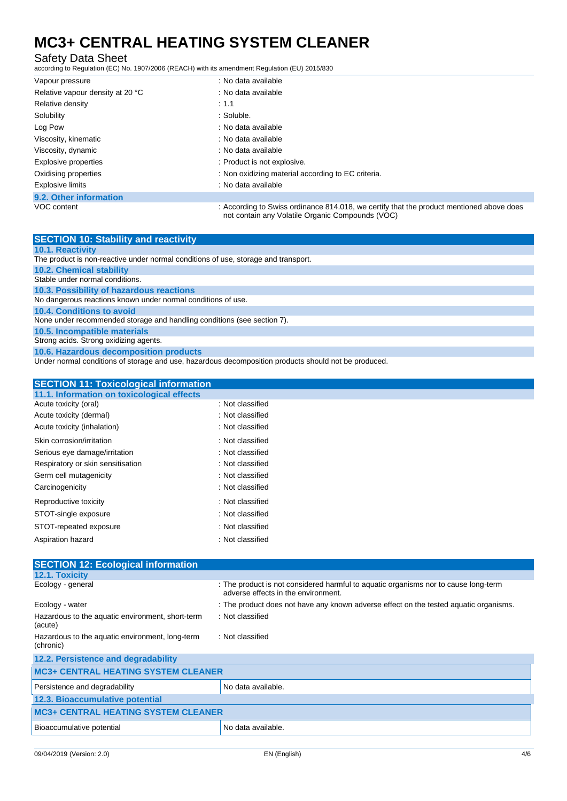## Safety Data Sheet

according to Regulation (EC) No. 1907/2006 (REACH) with its amendment Regulation (EU) 2015/830

| Vapour pressure                  | : No data available                                                                                                                          |
|----------------------------------|----------------------------------------------------------------------------------------------------------------------------------------------|
| Relative vapour density at 20 °C | : No data available                                                                                                                          |
| Relative density                 | : 1.1                                                                                                                                        |
| Solubility                       | : Soluble.                                                                                                                                   |
| Log Pow                          | : No data available                                                                                                                          |
| Viscosity, kinematic             | : No data available                                                                                                                          |
| Viscosity, dynamic               | : No data available                                                                                                                          |
| Explosive properties             | : Product is not explosive.                                                                                                                  |
| Oxidising properties             | : Non oxidizing material according to EC criteria.                                                                                           |
| <b>Explosive limits</b>          | : No data available                                                                                                                          |
| 9.2. Other information           |                                                                                                                                              |
| VOC content                      | : According to Swiss ordinance 814.018, we certify that the product mentioned above does<br>not contain any Volatile Organic Compounds (VOC) |

| <b>SECTION 10: Stability and reactivity</b>                                                          |
|------------------------------------------------------------------------------------------------------|
| <b>10.1. Reactivity</b>                                                                              |
| The product is non-reactive under normal conditions of use, storage and transport.                   |
| <b>10.2. Chemical stability</b>                                                                      |
| Stable under normal conditions.                                                                      |
| 10.3. Possibility of hazardous reactions                                                             |
| No dangerous reactions known under normal conditions of use.                                         |
| 10.4. Conditions to avoid                                                                            |
| None under recommended storage and handling conditions (see section 7).                              |
| 10.5. Incompatible materials                                                                         |
| Strong acids. Strong oxidizing agents.                                                               |
| 10.6. Hazardous decomposition products                                                               |
| Under normal conditions of storage and use, hazardous decomposition products should not be produced. |

| <b>SECTION 11: Toxicological information</b> |                  |
|----------------------------------------------|------------------|
| 11.1. Information on toxicological effects   |                  |
| Acute toxicity (oral)                        | : Not classified |
| Acute toxicity (dermal)                      | : Not classified |
| Acute toxicity (inhalation)                  | : Not classified |
| Skin corrosion/irritation                    | : Not classified |
| Serious eye damage/irritation                | : Not classified |
| Respiratory or skin sensitisation            | : Not classified |
| Germ cell mutagenicity                       | : Not classified |
| Carcinogenicity                              | : Not classified |
| Reproductive toxicity                        | : Not classified |
| STOT-single exposure                         | : Not classified |
| STOT-repeated exposure                       | : Not classified |
| Aspiration hazard                            | : Not classified |
|                                              |                  |

| <b>SECTION 12: Ecological information</b>                    |                                                                                                                            |  |
|--------------------------------------------------------------|----------------------------------------------------------------------------------------------------------------------------|--|
| 12.1. Toxicity                                               |                                                                                                                            |  |
| Ecology - general                                            | : The product is not considered harmful to aquatic organisms nor to cause long-term<br>adverse effects in the environment. |  |
| Ecology - water                                              | : The product does not have any known adverse effect on the tested aquatic organisms.                                      |  |
| Hazardous to the aquatic environment, short-term<br>(acute)  | : Not classified                                                                                                           |  |
| Hazardous to the aquatic environment, long-term<br>(chronic) | : Not classified                                                                                                           |  |
| 12.2. Persistence and degradability                          |                                                                                                                            |  |
| <b>MC3+ CENTRAL HEATING SYSTEM CLEANER</b>                   |                                                                                                                            |  |
| Persistence and degradability                                | No data available.                                                                                                         |  |
| 12.3. Bioaccumulative potential                              |                                                                                                                            |  |
| <b>MC3+ CENTRAL HEATING SYSTEM CLEANER</b>                   |                                                                                                                            |  |
| Bioaccumulative potential                                    | No data available.                                                                                                         |  |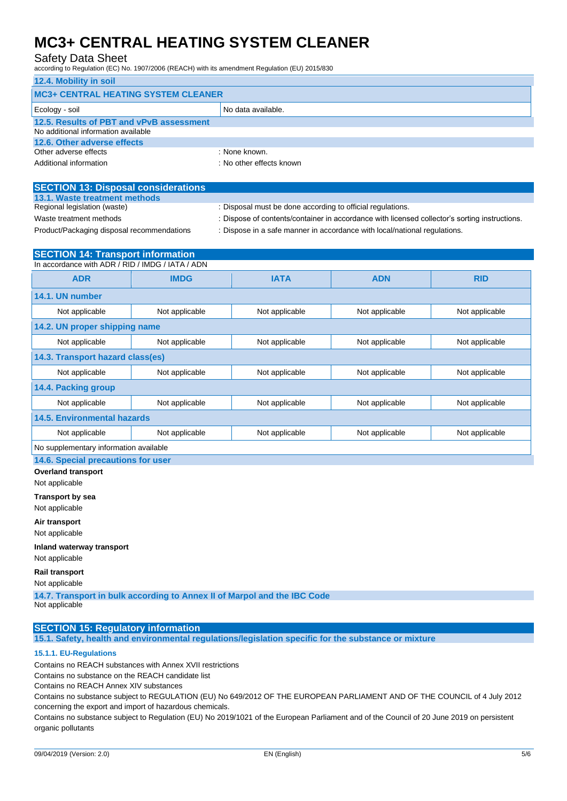### Safety Data Sheet

according to Regulation (EC) No. 1907/2006 (REACH) with its amendment Regulation (EU) 2015/830

| 12.4. Mobility in soil                     |                          |  |
|--------------------------------------------|--------------------------|--|
| <b>MC3+ CENTRAL HEATING SYSTEM CLEANER</b> |                          |  |
| Ecology - soil                             | No data available.       |  |
| 12.5. Results of PBT and vPvB assessment   |                          |  |
| No additional information available        |                          |  |
| 12.6. Other adverse effects                |                          |  |
| Other adverse effects                      | : None known.            |  |
| Additional information                     | : No other effects known |  |

| <b>SECTION 13: Disposal considerations</b> |  |
|--------------------------------------------|--|
| 13.1. Waste treatment methods              |  |
| Regional legislation (waste)               |  |
|                                            |  |

Disposal must be done according to official regulations.

Waste treatment methods : Dispose of contents/container in accordance with licensed collector's sorting instructions.

Product/Packaging disposal recommendations : Dispose in a safe manner in accordance with local/national regulations.

| <b>SECTION 14: Transport information</b>         |                |                |                |                |  |
|--------------------------------------------------|----------------|----------------|----------------|----------------|--|
| In accordance with ADR / RID / IMDG / IATA / ADN |                |                |                |                |  |
| <b>ADR</b>                                       | <b>IMDG</b>    | <b>IATA</b>    | <b>ADN</b>     | <b>RID</b>     |  |
| 14.1. UN number                                  |                |                |                |                |  |
| Not applicable                                   | Not applicable | Not applicable | Not applicable | Not applicable |  |
| 14.2. UN proper shipping name                    |                |                |                |                |  |
| Not applicable                                   | Not applicable | Not applicable | Not applicable | Not applicable |  |
| 14.3. Transport hazard class(es)                 |                |                |                |                |  |
| Not applicable                                   | Not applicable | Not applicable | Not applicable | Not applicable |  |
| 14.4. Packing group                              |                |                |                |                |  |
| Not applicable                                   | Not applicable | Not applicable | Not applicable | Not applicable |  |
| 14.5. Environmental hazards                      |                |                |                |                |  |
| Not applicable                                   | Not applicable | Not applicable | Not applicable | Not applicable |  |
| No supplementary information available           |                |                |                |                |  |

**14.6. Special precautions for user**

**Overland transport**

Not applicable

**Transport by sea** Not applicable

**Air transport**

Not applicable

**Inland waterway transport**

Not applicable

**Rail transport**

Not applicable

**14.7. Transport in bulk according to Annex II of Marpol and the IBC Code** Not applicable

### **SECTION 15: Regulatory information**

**15.1. Safety, health and environmental regulations/legislation specific for the substance or mixture**

#### **15.1.1. EU-Regulations**

Contains no REACH substances with Annex XVII restrictions

Contains no substance on the REACH candidate list

Contains no REACH Annex XIV substances

Contains no substance subject to REGULATION (EU) No 649/2012 OF THE EUROPEAN PARLIAMENT AND OF THE COUNCIL of 4 July 2012 concerning the export and import of hazardous chemicals.

Contains no substance subject to Regulation (EU) No 2019/1021 of the European Parliament and of the Council of 20 June 2019 on persistent organic pollutants